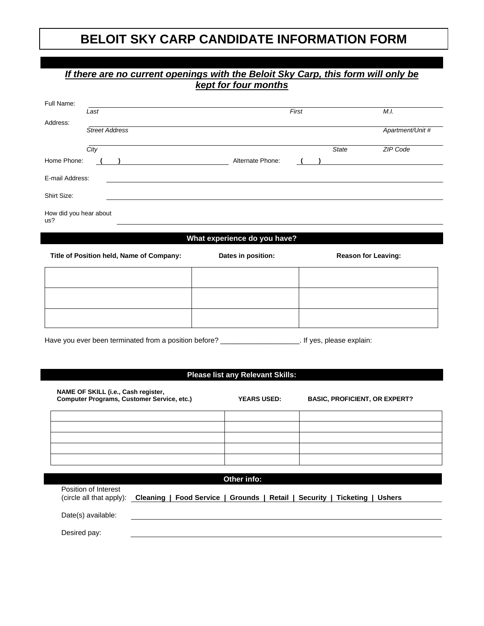## **BELOIT SKY CARP CANDIDATE INFORMATION FORM**

|                                                                                                                                                              |                                     |  |       | If there are no current openings with the Beloit Sky Carp, this form will only be<br><b>kept for four months</b> |  |                            |                                      |  |
|--------------------------------------------------------------------------------------------------------------------------------------------------------------|-------------------------------------|--|-------|------------------------------------------------------------------------------------------------------------------|--|----------------------------|--------------------------------------|--|
| Full Name:                                                                                                                                                   | Last                                |  | First |                                                                                                                  |  |                            | M.I.                                 |  |
| Address:                                                                                                                                                     | <b>Street Address</b>               |  |       |                                                                                                                  |  |                            | Apartment/Unit #                     |  |
|                                                                                                                                                              | $\overline{City}$                   |  |       |                                                                                                                  |  | State                      | ZIP Code                             |  |
| Home Phone:                                                                                                                                                  |                                     |  |       |                                                                                                                  |  |                            |                                      |  |
| E-mail Address:                                                                                                                                              |                                     |  |       |                                                                                                                  |  |                            |                                      |  |
| Shirt Size:                                                                                                                                                  |                                     |  |       |                                                                                                                  |  |                            |                                      |  |
| How did you hear about<br>us?                                                                                                                                |                                     |  |       |                                                                                                                  |  |                            |                                      |  |
|                                                                                                                                                              |                                     |  |       | What experience do you have?                                                                                     |  |                            |                                      |  |
| Title of Position held, Name of Company:                                                                                                                     |                                     |  |       | Dates in position:                                                                                               |  | <b>Reason for Leaving:</b> |                                      |  |
|                                                                                                                                                              |                                     |  |       |                                                                                                                  |  |                            |                                      |  |
|                                                                                                                                                              |                                     |  |       |                                                                                                                  |  |                            |                                      |  |
|                                                                                                                                                              |                                     |  |       |                                                                                                                  |  |                            |                                      |  |
|                                                                                                                                                              |                                     |  |       |                                                                                                                  |  |                            |                                      |  |
| Have you ever been terminated from a position before? _____________________. If yes, please explain:                                                         |                                     |  |       |                                                                                                                  |  |                            |                                      |  |
|                                                                                                                                                              |                                     |  |       |                                                                                                                  |  |                            |                                      |  |
|                                                                                                                                                              |                                     |  |       | <b>Please list any Relevant Skills:</b>                                                                          |  |                            |                                      |  |
|                                                                                                                                                              | NAME OF SKILL (i.e., Cash register, |  |       |                                                                                                                  |  |                            |                                      |  |
| <b>Computer Programs, Customer Service, etc.)</b>                                                                                                            |                                     |  |       | <b>YEARS USED:</b>                                                                                               |  |                            | <b>BASIC, PROFICIENT, OR EXPERT?</b> |  |
|                                                                                                                                                              |                                     |  |       |                                                                                                                  |  |                            |                                      |  |
|                                                                                                                                                              |                                     |  |       |                                                                                                                  |  |                            |                                      |  |
|                                                                                                                                                              |                                     |  |       |                                                                                                                  |  |                            |                                      |  |
|                                                                                                                                                              |                                     |  |       |                                                                                                                  |  |                            |                                      |  |
|                                                                                                                                                              |                                     |  |       | Other info:                                                                                                      |  |                            |                                      |  |
| Position of Interest<br>(circle all that apply):<br>Cleaning<br>Food Service   Grounds  <br>Retail  <br><b>Security</b><br><b>Ticketing</b><br><b>Ushers</b> |                                     |  |       |                                                                                                                  |  |                            |                                      |  |
|                                                                                                                                                              | Date(s) available:                  |  |       |                                                                                                                  |  |                            |                                      |  |
| Desired pay:                                                                                                                                                 |                                     |  |       |                                                                                                                  |  |                            |                                      |  |
|                                                                                                                                                              |                                     |  |       |                                                                                                                  |  |                            |                                      |  |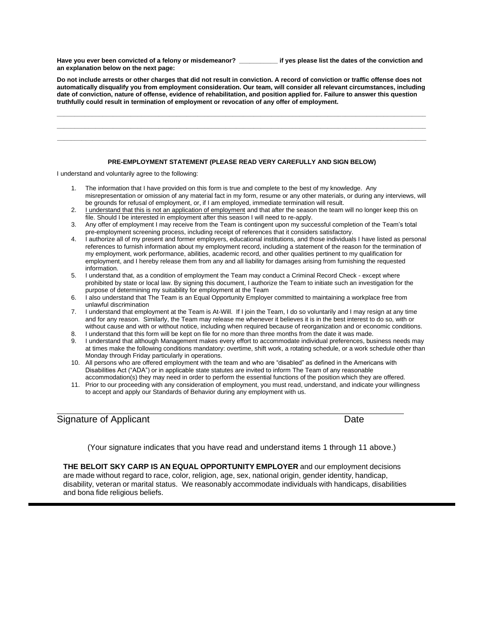**Have you ever been convicted of a felony or misdemeanor? \_\_\_\_\_\_\_\_\_\_\_ if yes please list the dates of the conviction and an explanation below on the next page:**

**Do not include arrests or other charges that did not result in conviction. A record of conviction or traffic offense does not automatically disqualify you from employment consideration. Our team, will consider all relevant circumstances, including date of conviction, nature of offense, evidence of rehabilitation, and position applied for. Failure to answer this question truthfully could result in termination of employment or revocation of any offer of employment.**

**\_\_\_\_\_\_\_\_\_\_\_\_\_\_\_\_\_\_\_\_\_\_\_\_\_\_\_\_\_\_\_\_\_\_\_\_\_\_\_\_\_\_\_\_\_\_\_\_\_\_\_\_\_\_\_\_\_\_\_\_\_\_\_\_\_\_\_\_\_\_\_\_\_\_\_\_\_\_\_\_\_\_\_\_\_\_\_\_\_\_\_\_\_\_\_\_\_\_\_\_\_\_\_\_\_ \_\_\_\_\_\_\_\_\_\_\_\_\_\_\_\_\_\_\_\_\_\_\_\_\_\_\_\_\_\_\_\_\_\_\_\_\_\_\_\_\_\_\_\_\_\_\_\_\_\_\_\_\_\_\_\_\_\_\_\_\_\_\_\_\_\_\_\_\_\_\_\_\_\_\_\_\_\_\_\_\_\_\_\_\_\_\_\_\_\_\_\_\_\_\_\_\_\_\_\_\_\_\_\_\_ \_\_\_\_\_\_\_\_\_\_\_\_\_\_\_\_\_\_\_\_\_\_\_\_\_\_\_\_\_\_\_\_\_\_\_\_\_\_\_\_\_\_\_\_\_\_\_\_\_\_\_\_\_\_\_\_\_\_\_\_\_\_\_\_\_\_\_\_\_\_\_\_\_\_\_\_\_\_\_\_\_\_\_\_\_\_\_\_\_\_\_\_\_\_\_\_\_\_\_\_\_\_\_\_\_**

## **PRE-EMPLOYMENT STATEMENT (PLEASE READ VERY CAREFULLY AND SIGN BELOW)**

I understand and voluntarily agree to the following:

- 1. The information that I have provided on this form is true and complete to the best of my knowledge. Any misrepresentation or omission of any material fact in my form, resume or any other materials, or during any interviews, will be grounds for refusal of employment, or, if I am employed, immediate termination will result.
- 2. Lunderstand that this is not an application of employment and that after the season the team will no longer keep this on file. Should I be interested in employment after this season I will need to re-apply.
- 3. Any offer of employment I may receive from the Team is contingent upon my successful completion of the Team's total pre-employment screening process, including receipt of references that it considers satisfactory.
- 4. I authorize all of my present and former employers, educational institutions, and those individuals I have listed as personal references to furnish information about my employment record, including a statement of the reason for the termination of my employment, work performance, abilities, academic record, and other qualities pertinent to my qualification for employment, and I hereby release them from any and all liability for damages arising from furnishing the requested information.
- 5. I understand that, as a condition of employment the Team may conduct a Criminal Record Check except where prohibited by state or local law. By signing this document, I authorize the Team to initiate such an investigation for the purpose of determining my suitability for employment at the Team
- 6. I also understand that The Team is an Equal Opportunity Employer committed to maintaining a workplace free from unlawful discrimination
- 7. I understand that employment at the Team is At-Will. If I join the Team, I do so voluntarily and I may resign at any time and for any reason. Similarly, the Team may release me whenever it believes it is in the best interest to do so, with or without cause and with or without notice, including when required because of reorganization and or economic conditions.
- 8. I understand that this form will be kept on file for no more than three months from the date it was made. 9. I understand that although Management makes every effort to accommodate individual preferences, business needs may
- at times make the following conditions mandatory: overtime, shift work, a rotating schedule, or a work schedule other than Monday through Friday particularly in operations.
- 10. All persons who are offered employment with the team and who are "disabled" as defined in the Americans with Disabilities Act ("ADA") or in applicable state statutes are invited to inform The Team of any reasonable accommodation(s) they may need in order to perform the essential functions of the position which they are offered.
- 11. Prior to our proceeding with any consideration of employment, you must read, understand, and indicate your willingness to accept and apply our Standards of Behavior during any employment with us.

## Signature of Applicant **Date** Date **Date** Date **Date**

(Your signature indicates that you have read and understand items 1 through 11 above.)

**THE BELOIT SKY CARP IS AN EQUAL OPPORTUNITY EMPLOYER** and our employment decisions are made without regard to race, color, religion, age, sex, national origin, gender identity, handicap, disability, veteran or marital status. We reasonably accommodate individuals with handicaps, disabilities and bona fide religious beliefs.